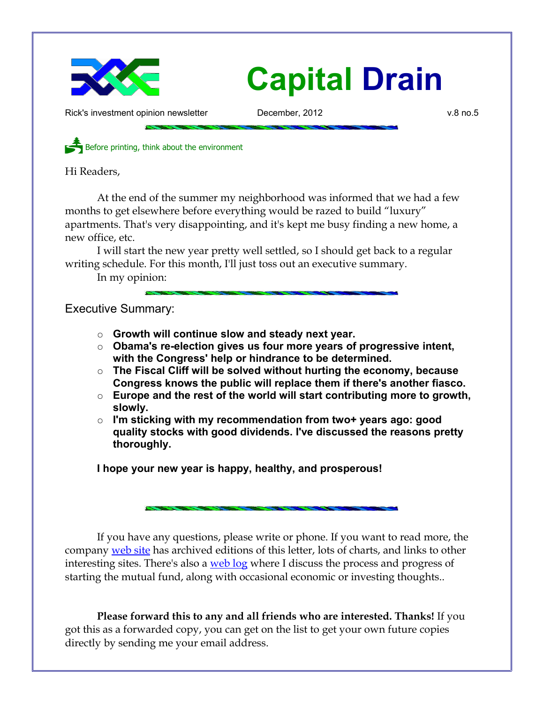

## **Capital Drain**

Rick's investment opinion newsletter **December, 2012** v.8 no.5

Before printing, think about the environment

Hi Readers,

At the end of the summer my neighborhood was informed that we had a few months to get elsewhere before everything would be razed to build "luxury" apartments. That's very disappointing, and it's kept me busy finding a new home, a new office, etc.

I will start the new year pretty well settled, so I should get back to a regular writing schedule. For this month, I'll just toss out an executive summary.

In my opinion:

Executive Summary:

- **Growth will continue slow and steady next year.**
- **Obama's re-election gives us four more years of progressive intent, with the Congress' help or hindrance to be determined.**
- **The Fiscal Cliff will be solved without hurting the economy, because Congress knows the public will replace them if there's another fiasco.**
- **Europe and the rest of the world will start contributing more to growth, slowly.**
- **I'm sticking with my recommendation from two+ years ago: good quality stocks with good dividends. I've discussed the reasons pretty thoroughly.**

**I hope your new year is happy, healthy, and prosperous!**

If you have any questions, please write or phone. If you want to read more, the company [web site](http://www.LongspliceInvest.com/newsletter.shtml) has archived editions of this letter, lots of charts, and links to other interesting sites. There's also a [web log](http://www.LongspliceInvestments.com/ricksblog) where I discuss the process and progress of starting the mutual fund, along with occasional economic or investing thoughts..

**Please forward this to any and all friends who are interested. Thanks!** If you got this as a forwarded copy, you can get on the list to get your own future copies directly by sending me your email address.